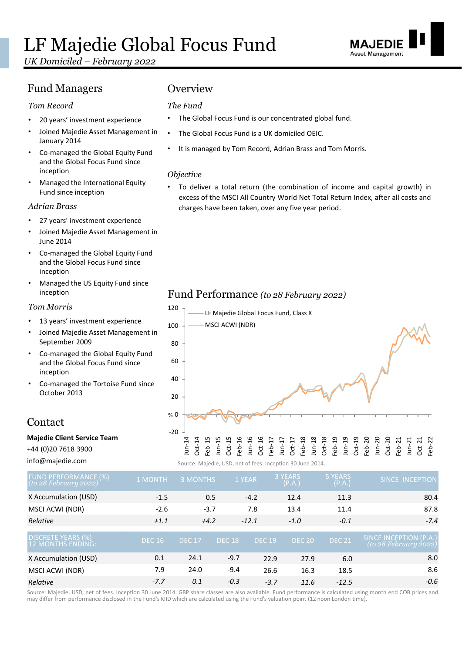# LF Majedie Global Focus Fund

*UK Domiciled – February 2022*

#### Fund Managers **Overview**

#### *Tom Record*

- 20 years' investment experience
- Joined Majedie Asset Management in January 2014
- Co-managed the Global Equity Fund and the Global Focus Fund since inception
- Managed the International Equity Fund since inception

#### *Adrian Brass*

- 27 years' investment experience
- Joined Majedie Asset Management in June 2014
- Co-managed the Global Equity Fund and the Global Focus Fund since inception
- Managed the US Equity Fund since inception

#### *Tom Morris*

- 13 years' investment experience
- Joined Majedie Asset Management in September 2009
- Co-managed the Global Equity Fund and the Global Focus Fund since inception
- Co-managed the Tortoise Fund since October 2013

#### Contact

#### **Majedie Client Service Team**

+44 (0)20 7618 3900

info@majedie.com

#### *The Fund*

- The Global Focus Fund is our concentrated global fund.
- The Global Focus Fund is a UK domiciled OEIC.
- It is managed by Tom Record, Adrian Brass and Tom Morris.

#### *Objective*

• To deliver a total return (the combination of income and capital growth) in excess of the MSCI All Country World Net Total Return Index, after all costs and charges have been taken, over any five year period.

#### Fund Performance *(to 28 February 2022)*



Source: Majedie, USD, net of fees. Inception 30 June 2014.

| <b>FUND PERFORMANCE (%)</b><br>(to 28 February 2022) | <b>1 MONTH</b> | 3 MONTHS      |               | 1 YEAR        | 3 YEARS<br>(P.A.) | <b>5 YEARS</b><br>(P.A.) | <b>SINCE INCEPTION</b>                          |
|------------------------------------------------------|----------------|---------------|---------------|---------------|-------------------|--------------------------|-------------------------------------------------|
| X Accumulation (USD)                                 | $-1.5$         | 0.5           |               | $-4.2$        | 12.4              | 11.3                     | 80.4                                            |
| MSCI ACWI (NDR)                                      | $-2.6$         | $-3.7$        |               | 7.8           | 13.4              | 11.4                     | 87.8                                            |
| Relative                                             | $+1.1$         | $+4.2$        |               | $-12.1$       | $-1.0$            | $-0.1$                   | $-7.4$                                          |
| DISCRETE YEARS (%)<br>.12 MONTHS ENDING:             | <b>DEC 16</b>  | <b>DEC 17</b> | <b>DEC 18</b> | <b>DEC 19</b> | <b>DEC 20</b>     | <b>DEC 21</b>            | SINCE INCEPTION (P.A.)<br>(to 28 February 2022) |
| X Accumulation (USD)                                 | 0.1            | 24.1          | $-9.7$        | 22.9          | 27.9              | 6.0                      | 8.0                                             |
| MSCI ACWI (NDR)                                      | 7.9            | 24.0          | $-9.4$        | 26.6          | 16.3              | 18.5                     | 8.6                                             |
| Relative                                             | $-7.7$         | 0.1           | $-0.3$        | $-3.7$        | 11.6              | $-12.5$                  | $-0.6$                                          |

Source: Majedie, USD, net of fees. Inception 30 June 2014. GBP share classes are also available. Fund performance is calculated using month end COB prices and may differ from performance disclosed in the Fund's KIID which are calculated using the Fund's valuation point (12 noon London time).